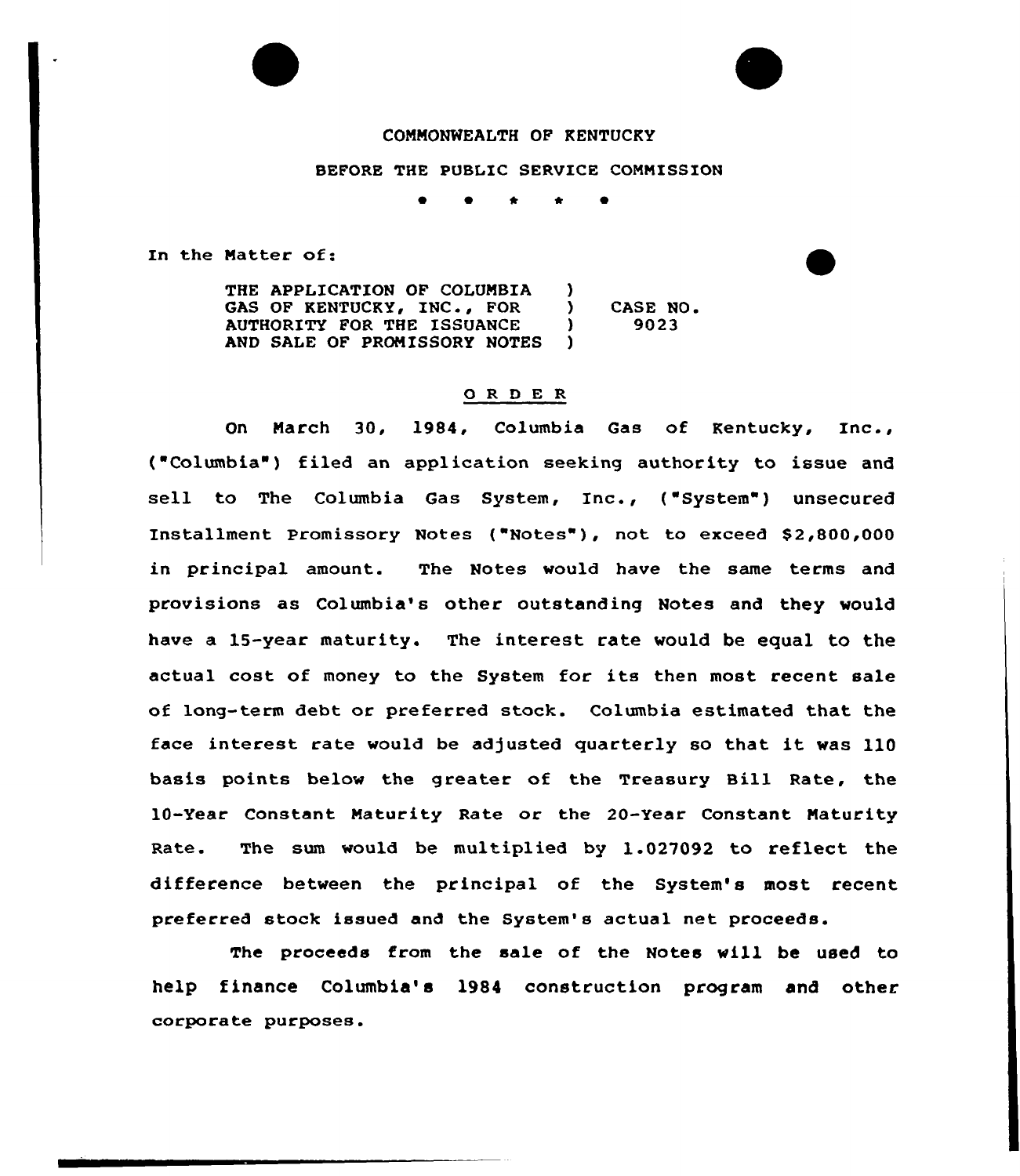## COMMONWEALTH OF KENTUCKY

## BEFORE THE PUBLIC SERVICE COMNISSION

In the Natter of:

THE APPLICATION OF COLUMBIA (1)<br>GAS OF KENTUCKY, INC., FOR GAS OF KENTUCKY, INC., FOR )<br>AUTHORITY FOR THE ISSUANCE ) AUTHORITY FOR THE ISSUANCE )<br>AND SALE OF PROMISSORY NOTES ) AND SALE OF PROMISSORY NOTES CASE NO 9023

## 0 R <sup>D</sup> E R

On Narch 30, 1984, Columbia Gas of Kentucky, Inc., ( Columbia') filed an application seeking authority to issue and sell to The Columbia Gas System, Inc., ("System") unsecured Installment Promissory Notes ("Notes"), not to exceed \$2,800,000 in principal amount. The Notes would have the same terms and provisions as Columbia's other outstanding Notes and they would have a 1S-year maturity. The interest rate would be equal to the actual cost of money to the System for its then most recent sale of long-term debt or preferred stock. Columbia estimated that the face interest rate would be adjusted quarterly so that it was 110 basis points below the greater of the Treasury Bill Rate, the 10-Year Constant Maturity Rate or the 20-Year Constant Naturity Rate. The sum would be multiplied by  $1.027092$  to reflect the difference between the principal of the System's most recent preferred stock issued and the System's actual net proceeds.

The proceeds from the sale of the Notes will be used to help finance Columbia's 1984 construction program and other corporate purposes.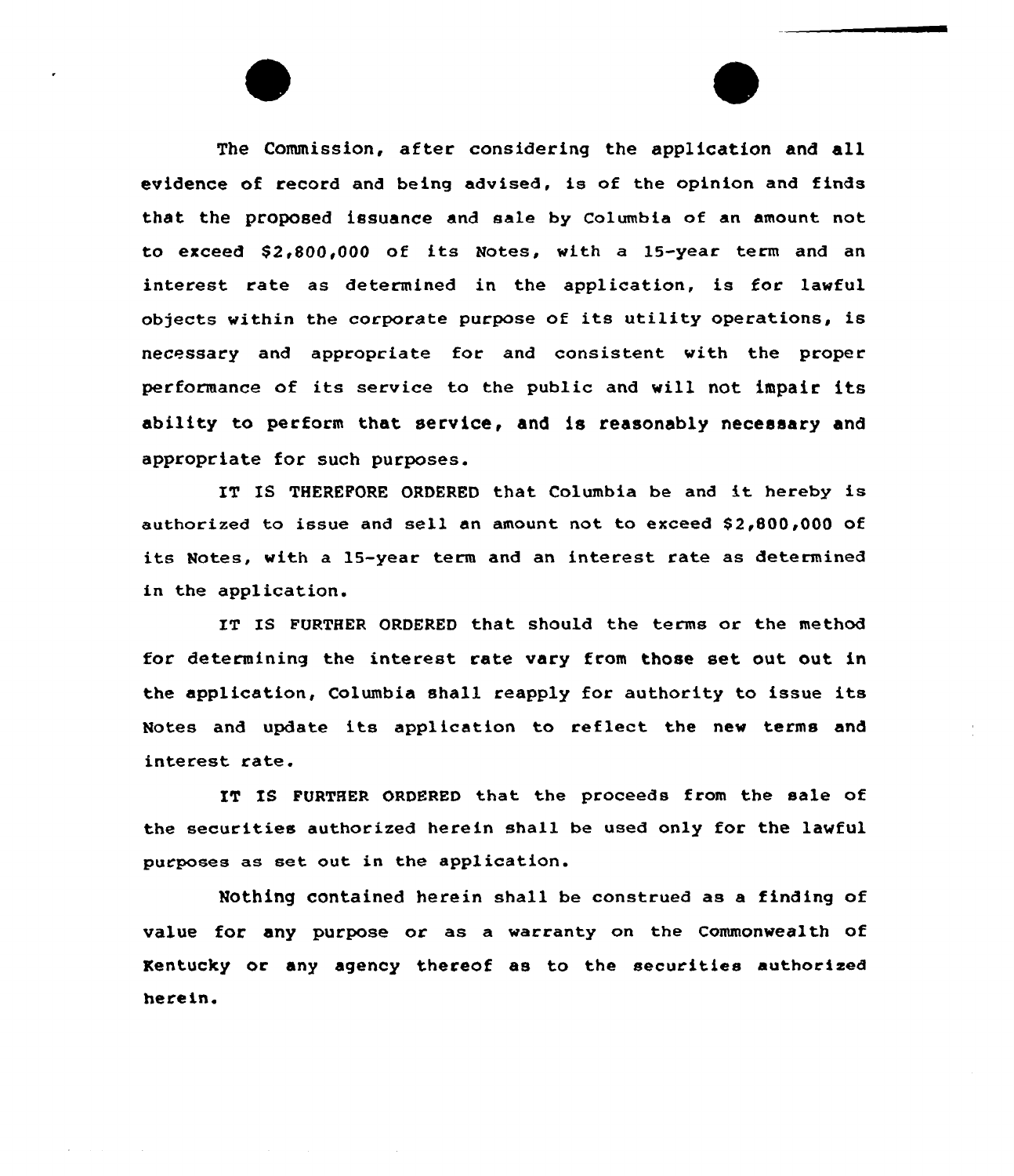The Commission, after considering the application and all evidence of record and being advised, is of the opinion and finds that the proposed issuance and sale by columbia of an amount not to exceed  $$2,800,000$  of its Notes, with a 15-year term and an interest rate as determined in the application, is for lawful objects within the corporate purpose of its utility operations, is necessary and appropriate for and consistent with the proper performance of its service to the public and will not impair its ability to perform that service, and is reasonably necessary and appropriate for such purposes.

IT IS THEREFORE ORDERED that Columbia be and it hereby is authorized to issue and sell an amount not to exceed S2 800,000 of its Notes, with a 15-year term and an interest rate as determined in the application.

IT IS FURTHER ORDERED that should the terms or the method for determining the interest rate vary from those set out out in the application, Columbia shall reapply for authority to issue its Notes and update its application to reflect the new terms and interest rate.

IT IS FURTHER ORDERED that the proceeds from the sale of the securities authorized herein shall be used only for the lawful purposes as set out in the application.

Nothing contained herein shall be construed as a finding of value for any purpose or as a warranty on the Commonwealth of Kentucky or any agency thereof as to the securities authorised herein.